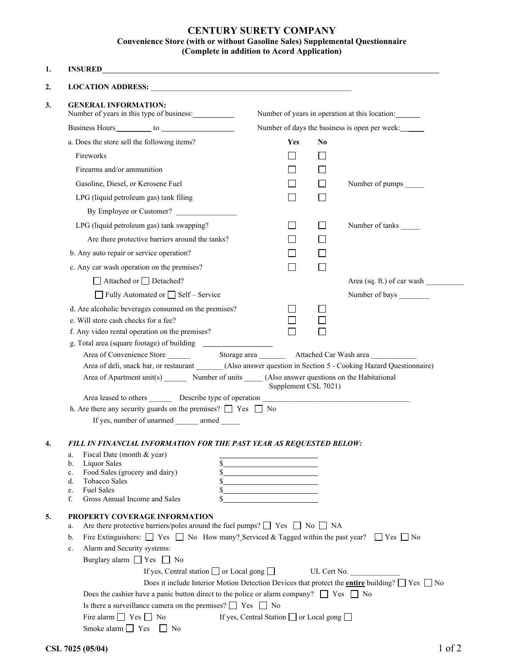## **CENTURY SURETY COMPANY Convenience Store (with or without Gasoline Sales) Supplemental Questionnaire (Complete in addition to Acord Application)**

| <b>GENERAL INFORMATION:</b>                                                                                                                                                                                                    |                                                                                                      |                                                           |              |                                                                                                                   |  |
|--------------------------------------------------------------------------------------------------------------------------------------------------------------------------------------------------------------------------------|------------------------------------------------------------------------------------------------------|-----------------------------------------------------------|--------------|-------------------------------------------------------------------------------------------------------------------|--|
|                                                                                                                                                                                                                                | Number of years in this type of business:                                                            |                                                           |              | Number of years in operation at this location:                                                                    |  |
| Business Hours to to the contract of the contract of the contract of the contract of the contract of the contract of the contract of the contract of the contract of the contract of the contract of the contract of the contr |                                                                                                      | Number of days the business is open per week:             |              |                                                                                                                   |  |
|                                                                                                                                                                                                                                | a. Does the store sell the following items?                                                          | Yes                                                       | No           |                                                                                                                   |  |
| Fireworks                                                                                                                                                                                                                      |                                                                                                      |                                                           |              |                                                                                                                   |  |
| Firearms and/or ammunition                                                                                                                                                                                                     |                                                                                                      |                                                           |              |                                                                                                                   |  |
|                                                                                                                                                                                                                                | Gasoline, Diesel, or Kerosene Fuel                                                                   |                                                           | l 1          | Number of pumps ______                                                                                            |  |
|                                                                                                                                                                                                                                | LPG (liquid petroleum gas) tank filing                                                               |                                                           |              |                                                                                                                   |  |
|                                                                                                                                                                                                                                | By Employee or Customer?                                                                             |                                                           |              |                                                                                                                   |  |
|                                                                                                                                                                                                                                | LPG (liquid petroleum gas) tank swapping?                                                            |                                                           | $\mathbf{I}$ | Number of tanks _______                                                                                           |  |
|                                                                                                                                                                                                                                | Are there protective barriers around the tanks?                                                      |                                                           |              |                                                                                                                   |  |
|                                                                                                                                                                                                                                | b. Any auto repair or service operation?                                                             |                                                           |              |                                                                                                                   |  |
|                                                                                                                                                                                                                                | c. Any car wash operation on the premises?                                                           |                                                           |              |                                                                                                                   |  |
|                                                                                                                                                                                                                                | $\Box$ Attached or $\Box$ Detached?                                                                  |                                                           |              | Area (sq. ft.) of car wash                                                                                        |  |
|                                                                                                                                                                                                                                | $\Box$ Fully Automated or $\Box$ Self – Service                                                      |                                                           |              | Number of bays                                                                                                    |  |
|                                                                                                                                                                                                                                |                                                                                                      |                                                           |              |                                                                                                                   |  |
| e. Will store cash checks for a fee?                                                                                                                                                                                           | d. Are alcoholic beverages consumed on the premises?                                                 |                                                           |              |                                                                                                                   |  |
|                                                                                                                                                                                                                                | f. Any video rental operation on the premises?                                                       |                                                           |              |                                                                                                                   |  |
|                                                                                                                                                                                                                                |                                                                                                      |                                                           |              |                                                                                                                   |  |
|                                                                                                                                                                                                                                |                                                                                                      |                                                           |              |                                                                                                                   |  |
|                                                                                                                                                                                                                                |                                                                                                      |                                                           |              | Area of deli, snack bar, or restaurant _______ (Also answer question in Section 5 - Cooking Hazard Questionnaire) |  |
|                                                                                                                                                                                                                                | Area of Apartment unit(s) ________ Number of units ______ (Also answer questions on the Habitational |                                                           |              |                                                                                                                   |  |
|                                                                                                                                                                                                                                | Area leased to others _________ Describe type of operation ______________________                    | Supplement CSL 7021)                                      |              |                                                                                                                   |  |
|                                                                                                                                                                                                                                | h. Are there any security guards on the premises? $\Box$ Yes $\Box$ No                               |                                                           |              |                                                                                                                   |  |
|                                                                                                                                                                                                                                | If yes, number of unarmed armed                                                                      |                                                           |              |                                                                                                                   |  |
|                                                                                                                                                                                                                                |                                                                                                      |                                                           |              |                                                                                                                   |  |
|                                                                                                                                                                                                                                | FILL IN FINANCIAL INFORMATION FOR THE PAST YEAR AS REQUESTED BELOW:                                  |                                                           |              |                                                                                                                   |  |
|                                                                                                                                                                                                                                |                                                                                                      |                                                           |              |                                                                                                                   |  |
| Fiscal Date (month & year)                                                                                                                                                                                                     |                                                                                                      | <u> 1989 - Johann Barbara, martxa alemaniar a</u>         |              |                                                                                                                   |  |
| a.<br><b>Liquor Sales</b><br>b.<br>c.                                                                                                                                                                                          |                                                                                                      |                                                           |              |                                                                                                                   |  |
| Food Sales (grocery and dairy)<br>Tobacco Sales                                                                                                                                                                                |                                                                                                      | <u> 1989 - Johann Barbara, martxa a shekara 1989 - An</u> |              |                                                                                                                   |  |
| <b>Fuel Sales</b>                                                                                                                                                                                                              |                                                                                                      |                                                           |              |                                                                                                                   |  |
|                                                                                                                                                                                                                                | Gross Annual Income and Sales                                                                        |                                                           |              |                                                                                                                   |  |
|                                                                                                                                                                                                                                | PROPERTY COVERAGE INFORMATION                                                                        |                                                           |              |                                                                                                                   |  |
|                                                                                                                                                                                                                                | Are there protective barriers/poles around the fuel pumps? $\Box$ Yes $\Box$ No $\Box$ NA            |                                                           |              |                                                                                                                   |  |
| d.<br>e.<br>f.<br>a.<br>b.                                                                                                                                                                                                     |                                                                                                      |                                                           |              | Fire Extinguishers: $\Box$ Yes $\Box$ No How many? Serviced & Tagged within the past year? $\Box$ Yes $\Box$ No   |  |
|                                                                                                                                                                                                                                | Alarm and Security systems:<br>Burglary alarm $\Box$ Yes $\Box$ No                                   |                                                           |              |                                                                                                                   |  |
| c.                                                                                                                                                                                                                             | If yes, Central station $\Box$ or Local gong $\Box$                                                  |                                                           |              | UL Cert No.                                                                                                       |  |
|                                                                                                                                                                                                                                |                                                                                                      |                                                           |              | Does it include Interior Motion Detection Devices that protect the <b>entire</b> building? $\Box$ Yes $\Box$ No   |  |
|                                                                                                                                                                                                                                | Does the cashier have a panic button direct to the police or alarm company? $\Box$ Yes $\Box$ No     |                                                           |              |                                                                                                                   |  |